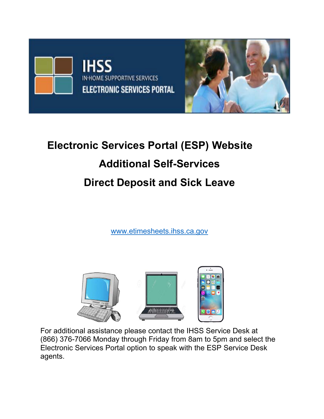

# **Electronic Services Portal (ESP) Website Additional Self-Services Direct Deposit and Sick Leave**

www.etimesheets.ihss.ca.gov



For additional assistance please contact the IHSS Service Desk at (866) 376-7066 Monday through Friday from 8am to 5pm and select the Electronic Services Portal option to speak with the ESP Service Desk agents.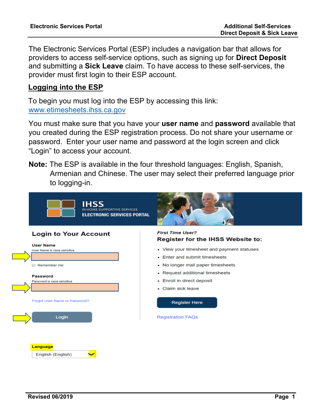The Electronic Services Portal (ESP) includes a navigation bar that allows for providers to access self-service options, such as signing up for **Direct Deposit** and submitting a **Sick Leave** claim. To have access to these self-services, the provider must first login to their ESP account.

### **Logging into the ESP**

 To begin you must log into the ESP by accessing this link: www.etimesheets.ihss.ca.gov

You must make sure that you have your **user name** and **password** available that you created during the ESP registration process. Do not share your username or password. Enter your user name and password at the login screen and click "Login" to access your account.

**Note:** The ESP is available in the four threshold languages: English, Spanish, Armenian and Chinese. The user may select their preferred language prior to logging-in.

|  | <b>IHSS</b><br>IN-HOME SUPPORTIVE SERVICES<br><b>ELECTRONIC SERVICES PORTAL</b> |                                                                                                                          |  |  |  |  |  |
|--|---------------------------------------------------------------------------------|--------------------------------------------------------------------------------------------------------------------------|--|--|--|--|--|
|  | <b>Login to Your Account</b>                                                    | <b>First Time User?</b><br>Register for the IHSS Website to:                                                             |  |  |  |  |  |
|  | <b>User Name</b><br>User Name is case sensitive                                 | • View your timesheet and payment statuses<br>• Enter and submit timesheets                                              |  |  |  |  |  |
|  | Remember me<br>Password<br>Password is case sensitive                           | • No longer mail paper timesheets<br>• Request additional timesheets<br>• Enroll in direct deposit<br>• Claim sick leave |  |  |  |  |  |
|  | Forgot User Name or Password?                                                   | <b>Register Here</b>                                                                                                     |  |  |  |  |  |
|  | Login                                                                           | <b>Registration FAQs</b>                                                                                                 |  |  |  |  |  |
|  |                                                                                 |                                                                                                                          |  |  |  |  |  |
|  | Language<br>English (English)                                                   |                                                                                                                          |  |  |  |  |  |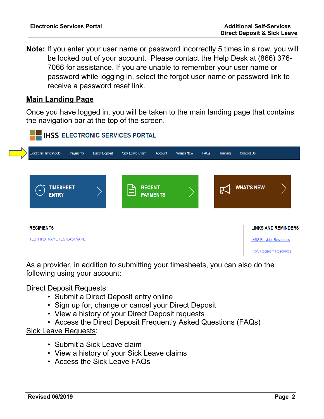**Note:** If you enter your user name or password incorrectly 5 times in a row, you will be locked out of your account. Please contact the Help Desk at (866) 376- 7066 for assistance. If you are unable to remember your user name or password while logging in, select the forgot user name or password link to receive a password reset link.

## **Main Landing Page**

Once you have logged in, you will be taken to the main landing page that contains the navigation bar at the top of the screen.



As a provider, in addition to submitting your timesheets, you can also do the following using your account:

#### Direct Deposit Requests:

- Submit a Direct Deposit entry online
- Sign up for, change or cancel your Direct Deposit
- View a history of your Direct Deposit requests
- Access the Direct Deposit Frequently Asked Questions (FAQs)

#### Sick Leave Requests:

- Submit a Sick Leave claim
- View a history of your Sick Leave claims
- Access the Sick Leave FAQs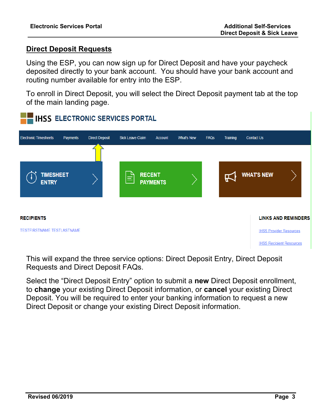# **Direct Deposit Requests**

Using the ESP, you can now sign up for Direct Deposit and have your paycheck deposited directly to your bank account. You should have your bank account and routing number available for entry into the ESP.

To enroll in Direct Deposit, you will select the Direct Deposit payment tab at the top of the main landing page.



This will expand the three service options: Direct Deposit Entry, Direct Deposit Requests and Direct Deposit FAQs.

Select the "Direct Deposit Entry" option to submit a **new** Direct Deposit enrollment, to **change** your existing Direct Deposit information, or **cancel** your existing Direct Deposit. You will be required to enter your banking information to request a new Direct Deposit or change your existing Direct Deposit information.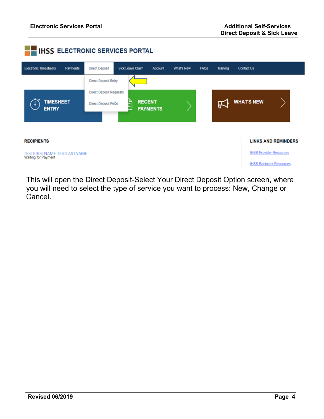

This will open the Direct Deposit-Select Your Direct Deposit Option screen, where you will need to select the type of service you want to process: New, Change or Cancel.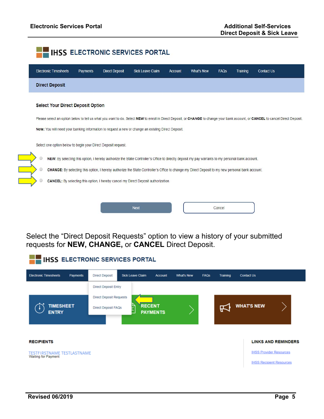

Select the "Direct Deposit Requests" option to view a history of your submitted requests for **NEW, CHANGE,** or **CANCEL** Direct Deposit.

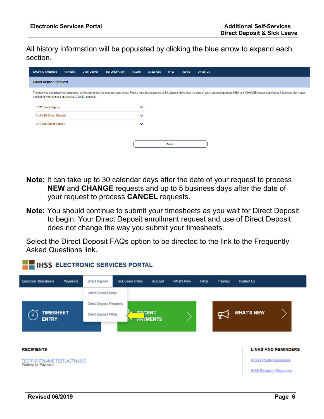All history information will be populated by clicking the blue arrow to expand each section.

| <b>Electronic Timesheets</b>                                                                                                                                                                                                                                                           | Payments                     | <b>Direct Deposit</b> | <b>Sick Leave Claim</b> | <b>Account</b> | What's New | <b>FAQS</b> | Training | <b>Contact Us</b> |  |  |  |  |
|----------------------------------------------------------------------------------------------------------------------------------------------------------------------------------------------------------------------------------------------------------------------------------------|------------------------------|-----------------------|-------------------------|----------------|------------|-------------|----------|-------------------|--|--|--|--|
| <b>Direct Deposit Request</b>                                                                                                                                                                                                                                                          |                              |                       |                         |                |            |             |          |                   |  |  |  |  |
| The date you submitted your request(s) will display under the request types below. Please note, it can take up to 30 calendar days after the date of your request to process NEW and CHANGE requests and up to 5 business days<br>the date of your request to process CANCEL requests. |                              |                       |                         |                |            |             |          |                   |  |  |  |  |
| <b>NEW Direct Deposit</b>                                                                                                                                                                                                                                                              |                              |                       |                         | $\checkmark$   |            |             |          |                   |  |  |  |  |
|                                                                                                                                                                                                                                                                                        | <b>CHANGE Direct Deposit</b> |                       |                         |                |            |             |          |                   |  |  |  |  |
| <b>CANCEL Direct Deposit</b>                                                                                                                                                                                                                                                           |                              |                       |                         | $\checkmark$   |            |             |          |                   |  |  |  |  |
|                                                                                                                                                                                                                                                                                        |                              |                       |                         |                |            |             |          |                   |  |  |  |  |
|                                                                                                                                                                                                                                                                                        |                              |                       |                         |                |            | Cancel      |          |                   |  |  |  |  |

- **Note:** It can take up to 30 calendar days after the date of your request to process **NEW** and **CHANGE** requests and up to 5 business days after the date of your request to process **CANCEL** requests.
- **Note:** You should continue to submit your timesheets as you wait for Direct Deposit to begin. Your Direct Deposit enrollment request and use of Direct Deposit does not change the way you submit your timesheets.

Select the Direct Deposit FAQs option to be directed to the link to the Frequently Asked Questions link.

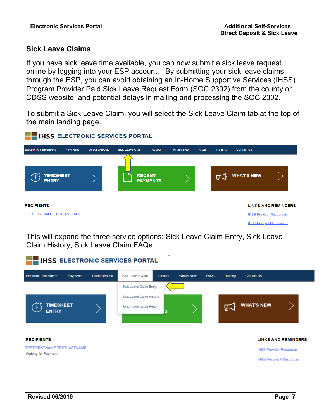#### **Sick Leave Claims**

If you have sick leave time available, you can now submit a sick leave request online by logging into your ESP account. By submitting your sick leave claims through the ESP, you can avoid obtaining an In-Home Supportive Services (IHSS) Program Provider Paid Sick Leave Request Form (SOC 2302) from the county or CDSS website, and potential delays in mailing and processing the SOC 2302.

To submit a Sick Leave Claim, you will select the Sick Leave Claim tab at the top of the main landing page.



This will expand the three service options: Sick Leave Claim Entry, Sick Leave Claim History, Sick Leave Claim FAQs.

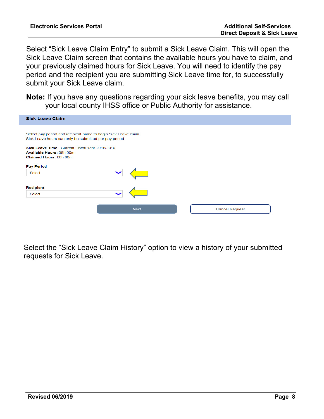Select "Sick Leave Claim Entry" to submit a Sick Leave Claim. This will open the Sick Leave Claim screen that contains the available hours you have to claim, and your previously claimed hours for Sick Leave. You will need to identify the pay period and the recipient you are submitting Sick Leave time for, to successfully submit your Sick Leave claim.

**Note:** If you have any questions regarding your sick leave benefits, you may call your local county IHSS office or Public Authority for assistance.

| <b>Sick Leave Claim</b>                                                                                                   |                       |
|---------------------------------------------------------------------------------------------------------------------------|-----------------------|
| Select pay period and recipient name to begin Sick Leave claim.<br>Sick Leave hours can only be submitted per pay period. |                       |
| Sick Leave Time - Current Fiscal Year 2018/2019<br>Available Hours: 08h 00m<br>Claimed Hours: 00h 00m                     |                       |
| <b>Pay Period</b><br>Select                                                                                               |                       |
| <b>Recipient</b><br>Select                                                                                                |                       |
| <b>Next</b>                                                                                                               | <b>Cancel Request</b> |

Select the "Sick Leave Claim History" option to view a history of your submitted requests for Sick Leave.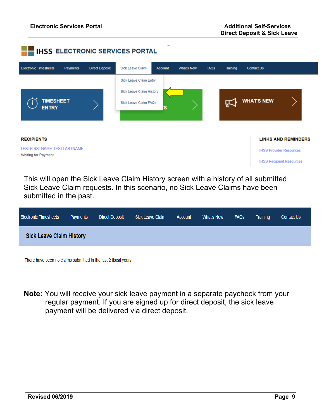

This will open the Sick Leave Claim History screen with a history of all submitted Sick Leave Claim requests. In this scenario, no Sick Leave Claims have been submitted in the past.

| <b>Electronic Timesheets</b>    | <b>Payments</b> | <b>Direct Deposit</b> | Sick Leave Claim | <b>Account</b> | What's New | <b>FAQS</b> | Training | <b>Contact Us</b> |
|---------------------------------|-----------------|-----------------------|------------------|----------------|------------|-------------|----------|-------------------|
| <b>Sick Leave Claim History</b> |                 |                       |                  |                |            |             |          |                   |

There have been no claims submitted in the last 2 fiscal years.

**Note:** You will receive your sick leave payment in a separate paycheck from your regular payment. If you are signed up for direct deposit, the sick leave payment will be delivered via direct deposit.